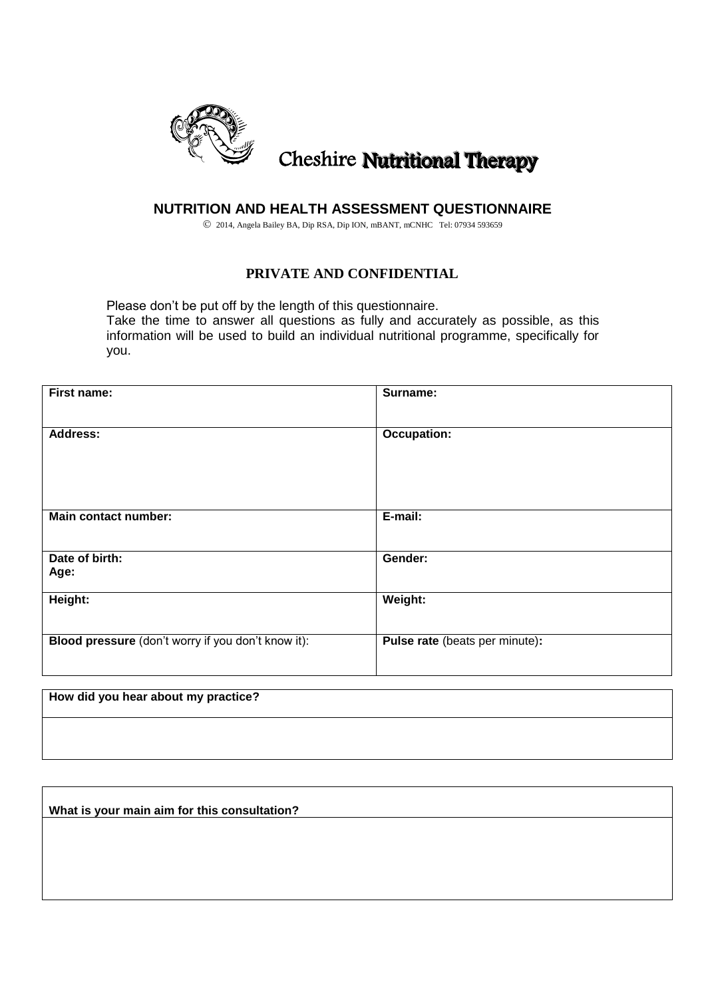

# Cheshire Nutritional Therapy

## **NUTRITION AND HEALTH ASSESSMENT QUESTIONNAIRE**

2014, Angela Bailey BA, Dip RSA, Dip ION, mBANT, mCNHC Tel: 07934 593659

## **PRIVATE AND CONFIDENTIAL**

Please don't be put off by the length of this questionnaire. Take the time to answer all questions as fully and accurately as possible, as this information will be used to build an individual nutritional programme, specifically for you.

| First name:                                        | Surname:                       |
|----------------------------------------------------|--------------------------------|
|                                                    |                                |
| <b>Address:</b>                                    | <b>Occupation:</b>             |
|                                                    |                                |
|                                                    |                                |
|                                                    |                                |
| Main contact number:                               | E-mail:                        |
|                                                    |                                |
| Date of birth:                                     | Gender:                        |
| Age:                                               |                                |
| Height:                                            | Weight:                        |
|                                                    |                                |
| Blood pressure (don't worry if you don't know it): | Pulse rate (beats per minute): |
|                                                    |                                |
|                                                    |                                |

| How did you hear about my practice? |  |  |
|-------------------------------------|--|--|
|                                     |  |  |
|                                     |  |  |

**What is your main aim for this consultation?**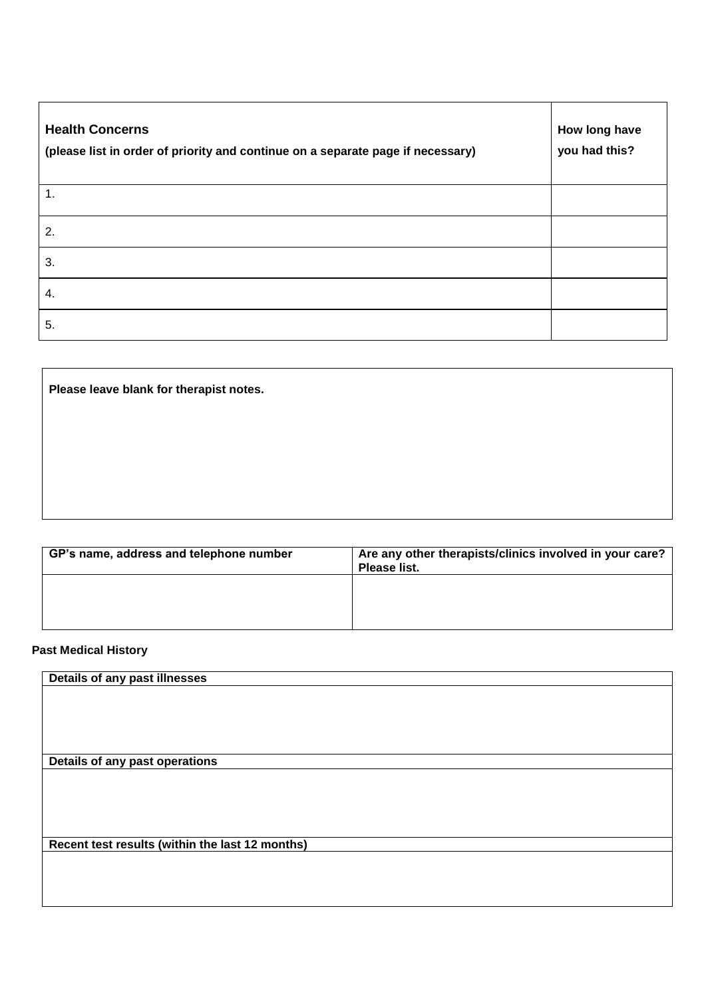| <b>Health Concerns</b><br>(please list in order of priority and continue on a separate page if necessary) | How long have<br>you had this? |
|-----------------------------------------------------------------------------------------------------------|--------------------------------|
| 1.                                                                                                        |                                |
| 2.                                                                                                        |                                |
| 3.                                                                                                        |                                |
| 4.                                                                                                        |                                |
| 5.                                                                                                        |                                |

**Please leave blank for therapist notes.**

| GP's name, address and telephone number | Are any other therapists/clinics involved in your care?<br>Please list. |
|-----------------------------------------|-------------------------------------------------------------------------|
|                                         |                                                                         |
|                                         |                                                                         |

## **Past Medical History**

| Details of any past illnesses                   |  |
|-------------------------------------------------|--|
|                                                 |  |
|                                                 |  |
|                                                 |  |
|                                                 |  |
|                                                 |  |
| Details of any past operations                  |  |
|                                                 |  |
|                                                 |  |
|                                                 |  |
|                                                 |  |
|                                                 |  |
| Recent test results (within the last 12 months) |  |
|                                                 |  |
|                                                 |  |
|                                                 |  |
|                                                 |  |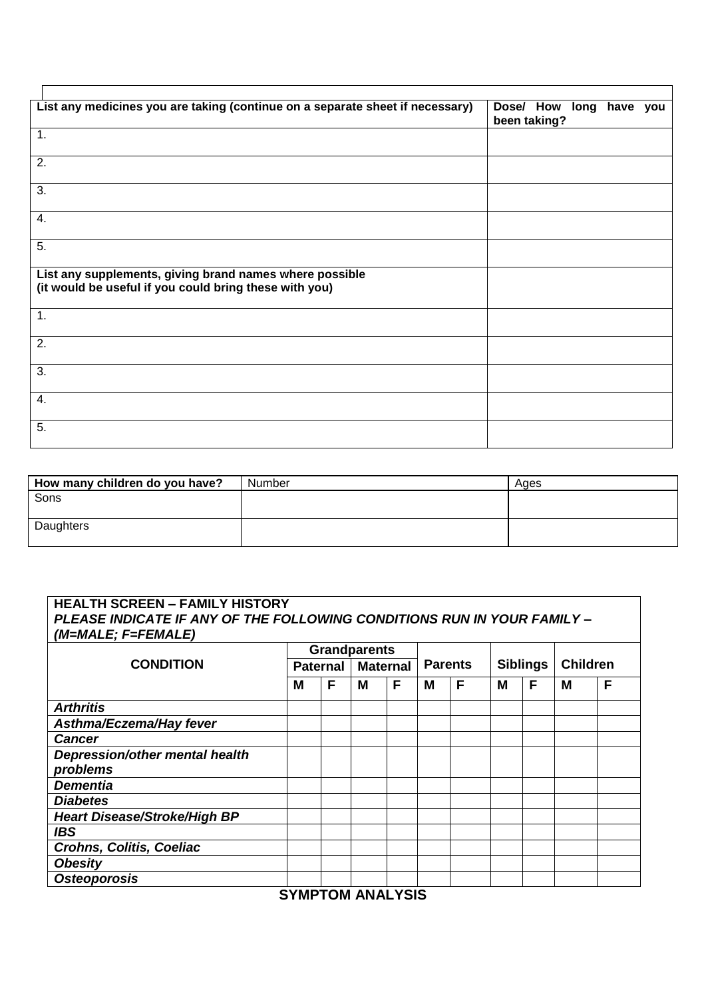| List any medicines you are taking (continue on a separate sheet if necessary)                                     | Dose/ How long have you<br>been taking? |
|-------------------------------------------------------------------------------------------------------------------|-----------------------------------------|
| 1.                                                                                                                |                                         |
| 2.                                                                                                                |                                         |
| 3.                                                                                                                |                                         |
| 4.                                                                                                                |                                         |
| 5.                                                                                                                |                                         |
| List any supplements, giving brand names where possible<br>(it would be useful if you could bring these with you) |                                         |
| 1.                                                                                                                |                                         |
| 2.                                                                                                                |                                         |
| 3.                                                                                                                |                                         |
| 4.                                                                                                                |                                         |
| 5.                                                                                                                |                                         |

| How many children do you have? | Number | Ages |
|--------------------------------|--------|------|
| Sons                           |        |      |
|                                |        |      |
| Daughters                      |        |      |

# **HEALTH SCREEN – FAMILY HISTORY**  *PLEASE INDICATE IF ANY OF THE FOLLOWING CONDITIONS RUN IN YOUR FAMILY – (M=MALE; F=FEMALE)* **Grandparents**

|                                     | Ul di lupal <del>c</del> rito |                 |   |                 |   |                |   |                 |                 |   |
|-------------------------------------|-------------------------------|-----------------|---|-----------------|---|----------------|---|-----------------|-----------------|---|
| <b>CONDITION</b>                    |                               | <b>Paternal</b> |   | <b>Maternal</b> |   | <b>Parents</b> |   | <b>Siblings</b> | <b>Children</b> |   |
|                                     | Μ                             | F               | M | F               | M | F              | M | F               | M               | F |
| <b>Arthritis</b>                    |                               |                 |   |                 |   |                |   |                 |                 |   |
| Asthma/Eczema/Hay fever             |                               |                 |   |                 |   |                |   |                 |                 |   |
| <b>Cancer</b>                       |                               |                 |   |                 |   |                |   |                 |                 |   |
| Depression/other mental health      |                               |                 |   |                 |   |                |   |                 |                 |   |
| problems                            |                               |                 |   |                 |   |                |   |                 |                 |   |
| <b>Dementia</b>                     |                               |                 |   |                 |   |                |   |                 |                 |   |
| <b>Diabetes</b>                     |                               |                 |   |                 |   |                |   |                 |                 |   |
| <b>Heart Disease/Stroke/High BP</b> |                               |                 |   |                 |   |                |   |                 |                 |   |
| <b>IBS</b>                          |                               |                 |   |                 |   |                |   |                 |                 |   |
| <b>Crohns, Colitis, Coeliac</b>     |                               |                 |   |                 |   |                |   |                 |                 |   |
| <b>Obesity</b>                      |                               |                 |   |                 |   |                |   |                 |                 |   |
| <b>Osteoporosis</b>                 |                               |                 |   |                 |   |                |   |                 |                 |   |

**SYMPTOM ANALYSIS**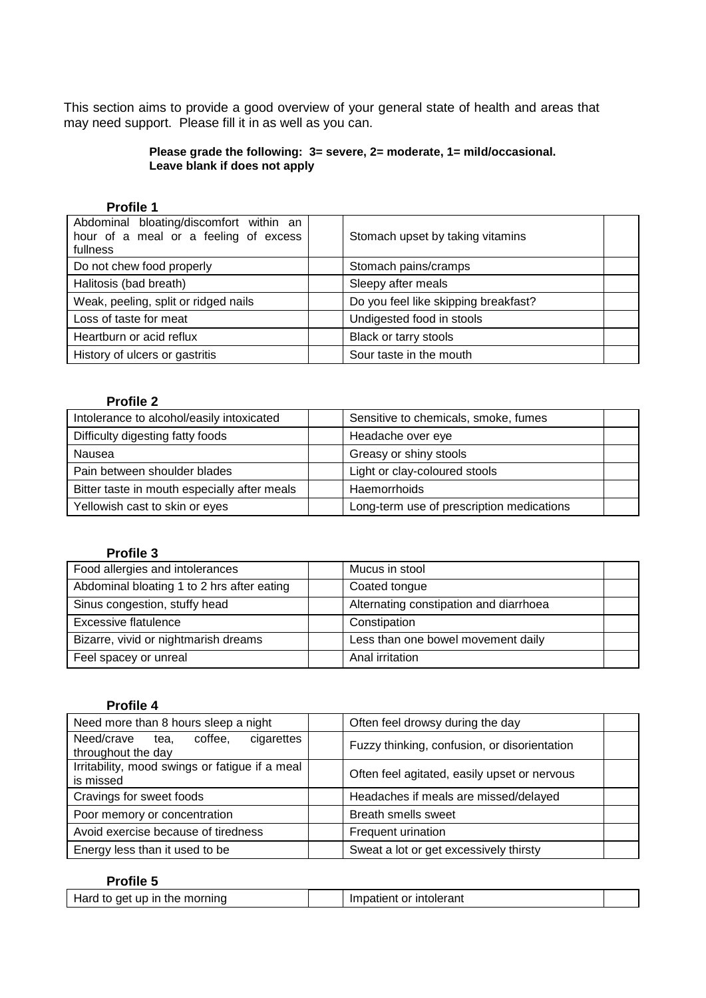This section aims to provide a good overview of your general state of health and areas that may need support. Please fill it in as well as you can.

#### **Please grade the following: 3= severe, 2= moderate, 1= mild/occasional. Leave blank if does not apply**

### **Profile 1**

| Abdominal bloating/discomfort within an<br>hour of a meal or a feeling of excess<br>fullness | Stomach upset by taking vitamins     |
|----------------------------------------------------------------------------------------------|--------------------------------------|
| Do not chew food properly                                                                    | Stomach pains/cramps                 |
| Halitosis (bad breath)                                                                       | Sleepy after meals                   |
| Weak, peeling, split or ridged nails                                                         | Do you feel like skipping breakfast? |
| Loss of taste for meat                                                                       | Undigested food in stools            |
| Heartburn or acid reflux                                                                     | Black or tarry stools                |
| History of ulcers or gastritis                                                               | Sour taste in the mouth              |

### **Profile 2**

| Intolerance to alcohol/easily intoxicated    | Sensitive to chemicals, smoke, fumes      |
|----------------------------------------------|-------------------------------------------|
| Difficulty digesting fatty foods             | Headache over eye                         |
| Nausea                                       | Greasy or shiny stools                    |
| Pain between shoulder blades                 | Light or clay-coloured stools             |
| Bitter taste in mouth especially after meals | Haemorrhoids                              |
| Yellowish cast to skin or eyes               | Long-term use of prescription medications |

### **Profile 3**

| Food allergies and intolerances            | Mucus in stool                         |
|--------------------------------------------|----------------------------------------|
| Abdominal bloating 1 to 2 hrs after eating | Coated tongue                          |
| Sinus congestion, stuffy head              | Alternating constipation and diarrhoea |
| <b>Excessive flatulence</b>                | Constipation                           |
| Bizarre, vivid or nightmarish dreams       | Less than one bowel movement daily     |
| Feel spacey or unreal                      | Anal irritation                        |

#### **Profile 4**

| Need more than 8 hours sleep a night                              | Often feel drowsy during the day             |
|-------------------------------------------------------------------|----------------------------------------------|
| Need/crave<br>coffee,<br>cigarettes<br>tea.<br>throughout the day | Fuzzy thinking, confusion, or disorientation |
| Irritability, mood swings or fatigue if a meal<br>is missed       | Often feel agitated, easily upset or nervous |
| Cravings for sweet foods                                          | Headaches if meals are missed/delayed        |
| Poor memory or concentration                                      | Breath smells sweet                          |
| Avoid exercise because of tiredness                               | Frequent urination                           |
| Energy less than it used to be                                    | Sweat a lot or get excessively thirsty       |

## **Profile 5**

| Hard to get up in the morning |  | Impatient or intolerant |  |
|-------------------------------|--|-------------------------|--|
|-------------------------------|--|-------------------------|--|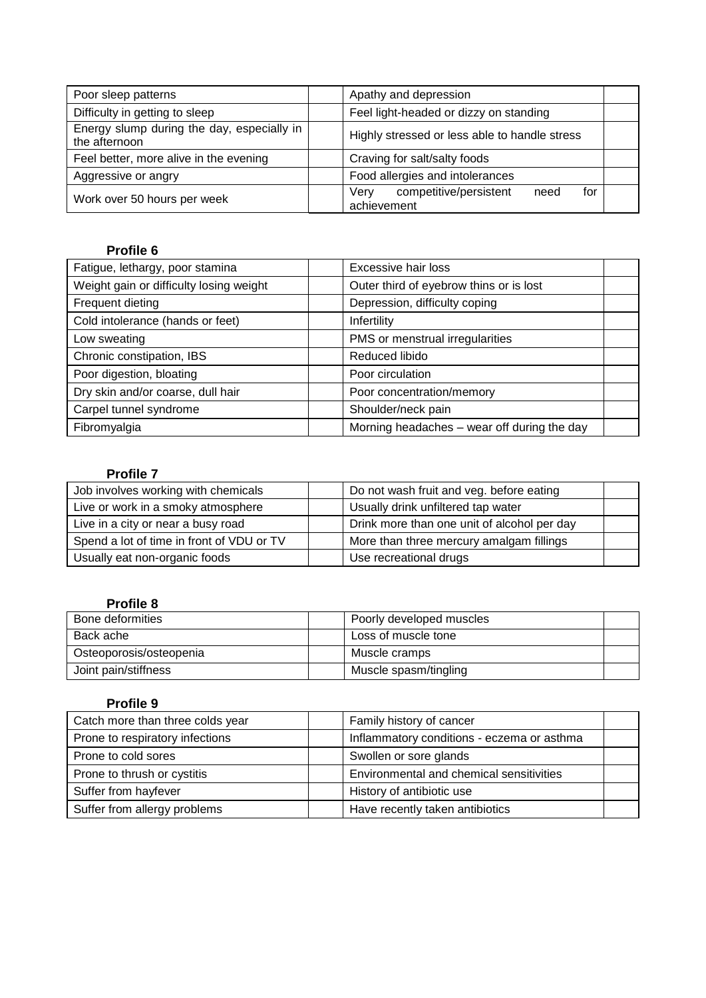| Poor sleep patterns                                         | Apathy and depression                                        |
|-------------------------------------------------------------|--------------------------------------------------------------|
| Difficulty in getting to sleep                              | Feel light-headed or dizzy on standing                       |
| Energy slump during the day, especially in<br>the afternoon | Highly stressed or less able to handle stress                |
| Feel better, more alive in the evening                      | Craving for salt/salty foods                                 |
| Aggressive or angry                                         | Food allergies and intolerances                              |
| Work over 50 hours per week                                 | competitive/persistent<br>Verv<br>for<br>need<br>achievement |

# **Profile 6**

| Fatigue, lethargy, poor stamina         | Excessive hair loss                         |
|-----------------------------------------|---------------------------------------------|
| Weight gain or difficulty losing weight | Outer third of eyebrow thins or is lost     |
| Frequent dieting                        | Depression, difficulty coping               |
| Cold intolerance (hands or feet)        | Infertility                                 |
| Low sweating                            | PMS or menstrual irregularities             |
| Chronic constipation, IBS               | Reduced libido                              |
| Poor digestion, bloating                | Poor circulation                            |
| Dry skin and/or coarse, dull hair       | Poor concentration/memory                   |
| Carpel tunnel syndrome                  | Shoulder/neck pain                          |
| Fibromyalgia                            | Morning headaches - wear off during the day |

#### **Profile 7**

| Job involves working with chemicals       | Do not wash fruit and veg. before eating    |
|-------------------------------------------|---------------------------------------------|
| Live or work in a smoky atmosphere        | Usually drink unfiltered tap water          |
| Live in a city or near a busy road        | Drink more than one unit of alcohol per day |
| Spend a lot of time in front of VDU or TV | More than three mercury amalgam fillings    |
| Usually eat non-organic foods             | Use recreational drugs                      |

## **Profile 8**

| Bone deformities        | Poorly developed muscles |  |
|-------------------------|--------------------------|--|
| Back ache               | Loss of muscle tone      |  |
| Osteoporosis/osteopenia | Muscle cramps            |  |
| Joint pain/stiffness    | Muscle spasm/tingling    |  |

#### **Profile 9**

| Catch more than three colds year | Family history of cancer                   |  |
|----------------------------------|--------------------------------------------|--|
| Prone to respiratory infections  | Inflammatory conditions - eczema or asthma |  |
| Prone to cold sores              | Swollen or sore glands                     |  |
| Prone to thrush or cystitis      | Environmental and chemical sensitivities   |  |
| Suffer from hayfever             | History of antibiotic use                  |  |
| Suffer from allergy problems     | Have recently taken antibiotics            |  |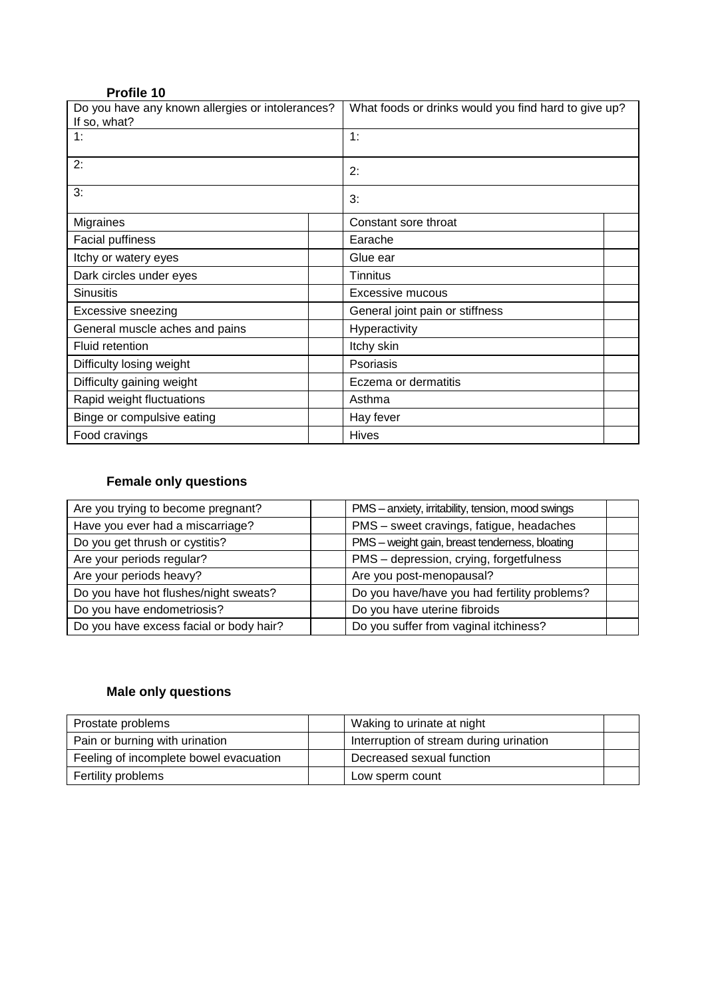| Profile 10 |  |
|------------|--|
|------------|--|

| Do you have any known allergies or intolerances?<br>If so, what? | What foods or drinks would you find hard to give up? |  |  |  |  |
|------------------------------------------------------------------|------------------------------------------------------|--|--|--|--|
| 1:                                                               | 1:                                                   |  |  |  |  |
| 2:                                                               | 2:                                                   |  |  |  |  |
| 3:                                                               | 3:                                                   |  |  |  |  |
| <b>Migraines</b>                                                 | Constant sore throat                                 |  |  |  |  |
| <b>Facial puffiness</b>                                          | Earache                                              |  |  |  |  |
| Itchy or watery eyes                                             | Glue ear                                             |  |  |  |  |
| Dark circles under eyes                                          | <b>Tinnitus</b>                                      |  |  |  |  |
| <b>Sinusitis</b>                                                 | Excessive mucous                                     |  |  |  |  |
| <b>Excessive sneezing</b>                                        | General joint pain or stiffness                      |  |  |  |  |
| General muscle aches and pains                                   | Hyperactivity                                        |  |  |  |  |
| <b>Fluid retention</b>                                           | Itchy skin                                           |  |  |  |  |
| Difficulty losing weight                                         | Psoriasis                                            |  |  |  |  |
| Difficulty gaining weight                                        | Eczema or dermatitis                                 |  |  |  |  |
| Rapid weight fluctuations                                        | Asthma                                               |  |  |  |  |
| Binge or compulsive eating                                       | Hay fever                                            |  |  |  |  |
| Food cravings                                                    | <b>Hives</b>                                         |  |  |  |  |

# **Female only questions**

| Are you trying to become pregnant?      | PMS - anxiety, irritability, tension, mood swings |
|-----------------------------------------|---------------------------------------------------|
| Have you ever had a miscarriage?        | PMS - sweet cravings, fatigue, headaches          |
| Do you get thrush or cystitis?          | PMS - weight gain, breast tenderness, bloating    |
| Are your periods regular?               | PMS - depression, crying, forgetfulness           |
| Are your periods heavy?                 | Are you post-menopausal?                          |
| Do you have hot flushes/night sweats?   | Do you have/have you had fertility problems?      |
| Do you have endometriosis?              | Do you have uterine fibroids                      |
| Do you have excess facial or body hair? | Do you suffer from vaginal itchiness?             |

# **Male only questions**

| Prostate problems                      | Waking to urinate at night              |  |
|----------------------------------------|-----------------------------------------|--|
| Pain or burning with urination         | Interruption of stream during urination |  |
| Feeling of incomplete bowel evacuation | Decreased sexual function               |  |
| Fertility problems                     | Low sperm count                         |  |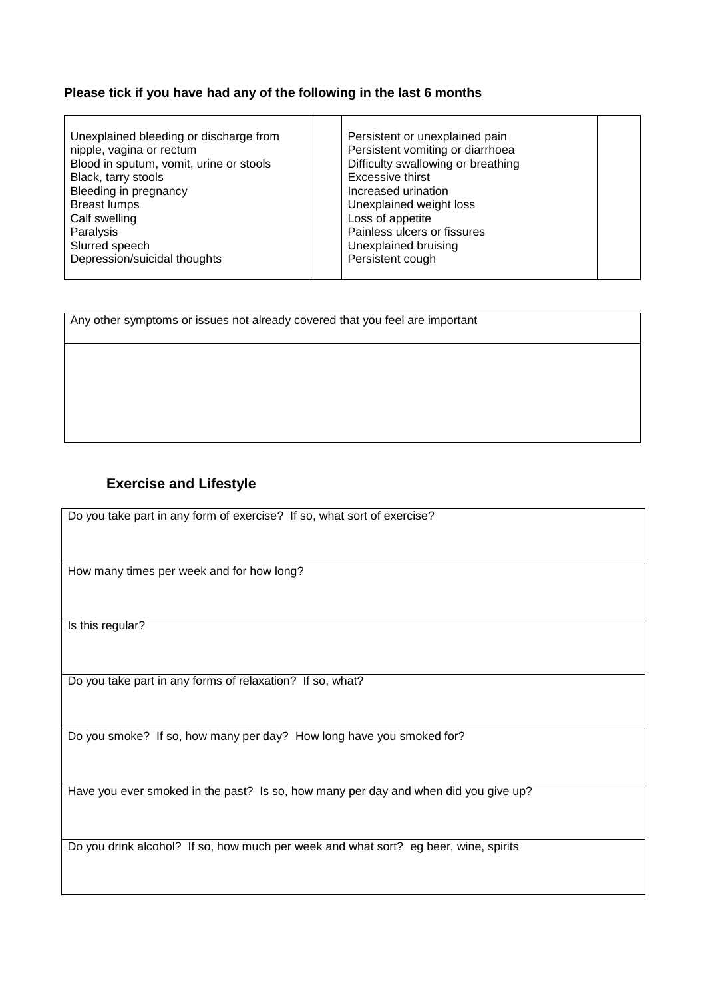#### **Please tick if you have had any of the following in the last 6 months**

- Unexplained bleeding or discharge from nipple, vagina or rectum Blood in sputum, vomit, urine or stools Black, tarry stools Bleeding in pregnancy Breast lumps Calf swelling Paralysis Slurred speech Depression/suicidal thoughts
- Persistent or unexplained pain Persistent vomiting or diarrhoea Difficulty swallowing or breathing Excessive thirst Increased urination Unexplained weight loss Loss of appetite Painless ulcers or fissures Unexplained bruising Persistent cough

Any other symptoms or issues not already covered that you feel are important

## **Exercise and Lifestyle**

Do you take part in any form of exercise? If so, what sort of exercise?

How many times per week and for how long?

Is this regular?

Do you take part in any forms of relaxation? If so, what?

Do you smoke? If so, how many per day? How long have you smoked for?

Have you ever smoked in the past? Is so, how many per day and when did you give up?

Do you drink alcohol? If so, how much per week and what sort? eg beer, wine, spirits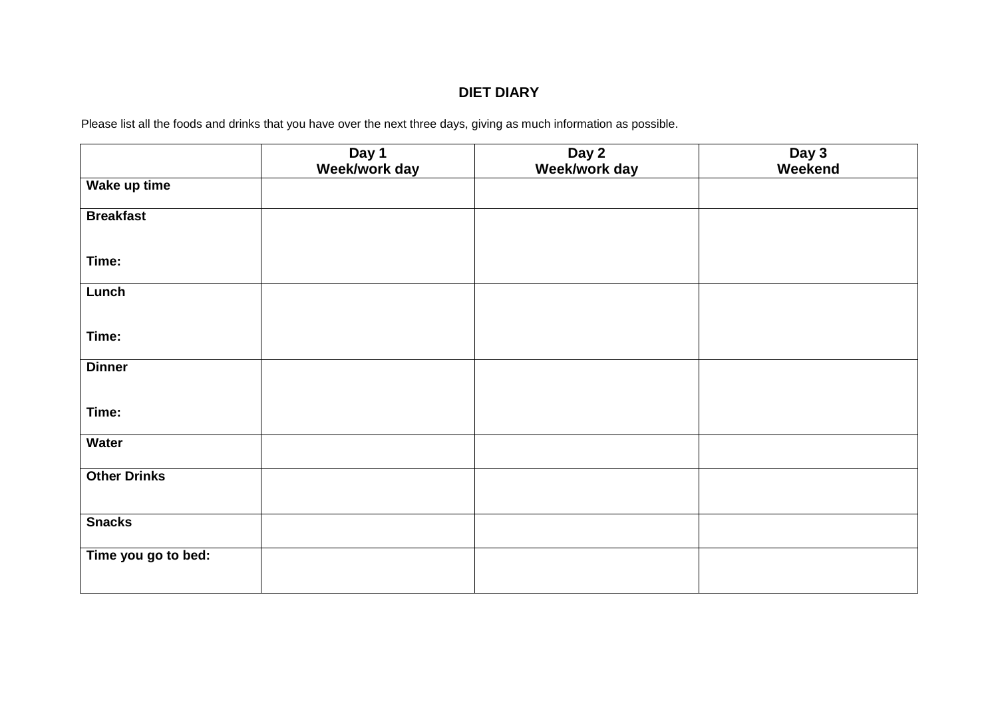# **DIET DIARY**

Please list all the foods and drinks that you have over the next three days, giving as much information as possible.

|                     | Day 1<br>Week/work day | Day 2<br>Week/work day | Day 3<br>Weekend |
|---------------------|------------------------|------------------------|------------------|
| Wake up time        |                        |                        |                  |
| <b>Breakfast</b>    |                        |                        |                  |
| Time:               |                        |                        |                  |
| Lunch               |                        |                        |                  |
| Time:               |                        |                        |                  |
| <b>Dinner</b>       |                        |                        |                  |
| Time:               |                        |                        |                  |
| Water               |                        |                        |                  |
| <b>Other Drinks</b> |                        |                        |                  |
| <b>Snacks</b>       |                        |                        |                  |
| Time you go to bed: |                        |                        |                  |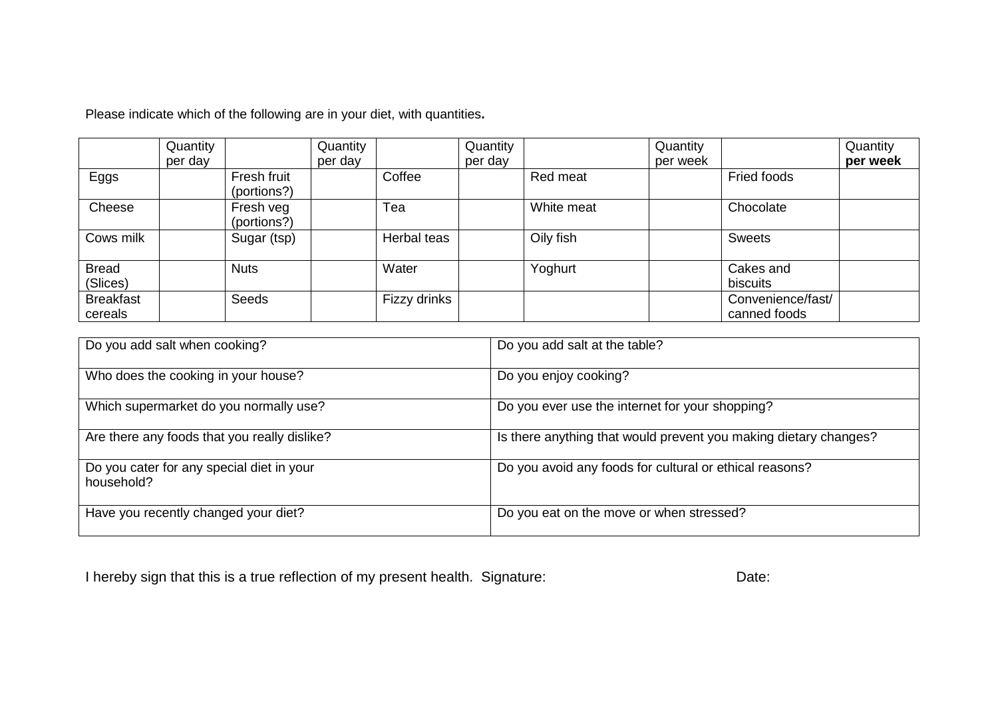Please indicate which of the following are in your diet, with quantities**.** 

|                             | Quantity |                            | Quantity |              | Quantity |            | Quantity |                                   | Quantity |
|-----------------------------|----------|----------------------------|----------|--------------|----------|------------|----------|-----------------------------------|----------|
|                             | per day  |                            | per day  |              | per day  |            | per week |                                   | per week |
| Eggs                        |          | Fresh fruit<br>(portions?) |          | Coffee       |          | Red meat   |          | Fried foods                       |          |
| Cheese                      |          | Fresh veg<br>(portions?)   |          | Tea          |          | White meat |          | Chocolate                         |          |
| Cows milk                   |          | Sugar (tsp)                |          | Herbal teas  |          | Oily fish  |          | <b>Sweets</b>                     |          |
| <b>Bread</b><br>(Slices)    |          | <b>Nuts</b>                |          | Water        |          | Yoghurt    |          | Cakes and<br>biscuits             |          |
| <b>Breakfast</b><br>cereals |          | Seeds                      |          | Fizzy drinks |          |            |          | Convenience/fast/<br>canned foods |          |

| Do you add salt when cooking?                           | Do you add salt at the table?                                    |
|---------------------------------------------------------|------------------------------------------------------------------|
| Who does the cooking in your house?                     | Do you enjoy cooking?                                            |
| Which supermarket do you normally use?                  | Do you ever use the internet for your shopping?                  |
| Are there any foods that you really dislike?            | Is there anything that would prevent you making dietary changes? |
| Do you cater for any special diet in your<br>household? | Do you avoid any foods for cultural or ethical reasons?          |
| Have you recently changed your diet?                    | Do you eat on the move or when stressed?                         |

I hereby sign that this is a true reflection of my present health. Signature: Date: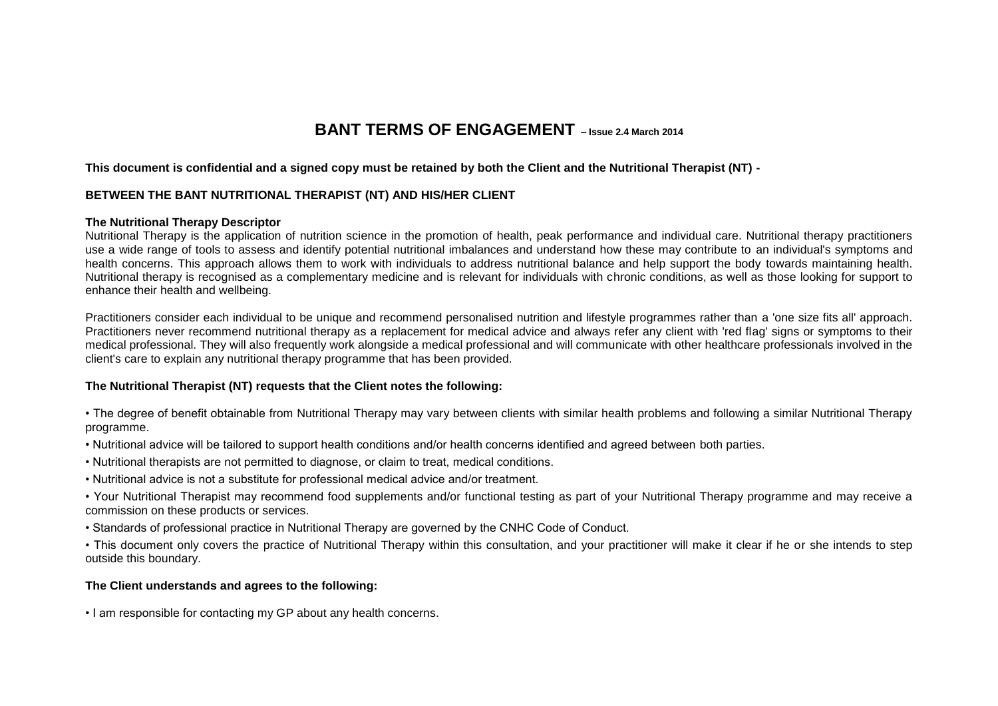# **BANT TERMS OF ENGAGEMENT – Issue 2.4 March 2014**

#### **This document is confidential and a signed copy must be retained by both the Client and the Nutritional Therapist (NT) -**

#### **BETWEEN THE BANT NUTRITIONAL THERAPIST (NT) AND HIS/HER CLIENT**

#### **The Nutritional Therapy Descriptor**

Nutritional Therapy is the application of nutrition science in the promotion of health, peak performance and individual care. Nutritional therapy practitioners use a wide range of tools to assess and identify potential nutritional imbalances and understand how these may contribute to an individual's symptoms and health concerns. This approach allows them to work with individuals to address nutritional balance and help support the body towards maintaining health. Nutritional therapy is recognised as a complementary medicine and is relevant for individuals with chronic conditions, as well as those looking for support to enhance their health and wellbeing.

Practitioners consider each individual to be unique and recommend personalised nutrition and lifestyle programmes rather than a 'one size fits all' approach. Practitioners never recommend nutritional therapy as a replacement for medical advice and always refer any client with 'red flag' signs or symptoms to their medical professional. They will also frequently work alongside a medical professional and will communicate with other healthcare professionals involved in the client's care to explain any nutritional therapy programme that has been provided.

#### **The Nutritional Therapist (NT) requests that the Client notes the following:**

• The degree of benefit obtainable from Nutritional Therapy may vary between clients with similar health problems and following a similar Nutritional Therapy programme.

- Nutritional advice will be tailored to support health conditions and/or health concerns identified and agreed between both parties.
- Nutritional therapists are not permitted to diagnose, or claim to treat, medical conditions.
- Nutritional advice is not a substitute for professional medical advice and/or treatment.
- Your Nutritional Therapist may recommend food supplements and/or functional testing as part of your Nutritional Therapy programme and may receive a commission on these products or services.
- Standards of professional practice in Nutritional Therapy are governed by the CNHC Code of Conduct.
- This document only covers the practice of Nutritional Therapy within this consultation, and your practitioner will make it clear if he or she intends to step outside this boundary.

#### **The Client understands and agrees to the following:**

• I am responsible for contacting my GP about any health concerns.